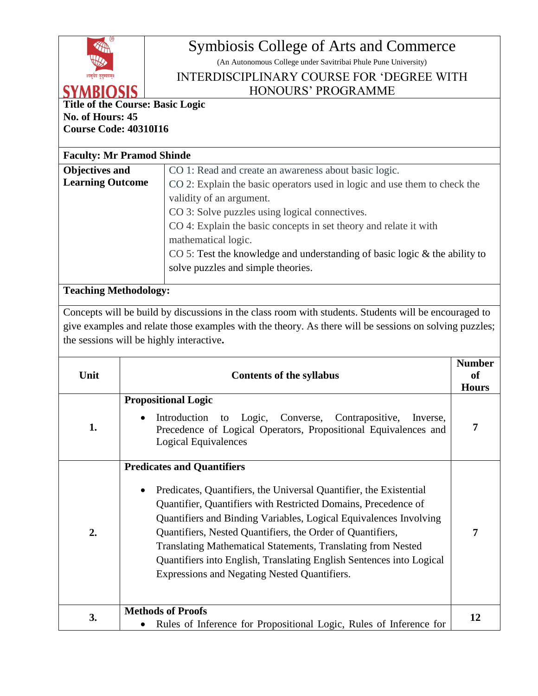

## Symbiosis College of Arts and Commerce

(An Autonomous College under Savitribai Phule Pune University)

## INTERDISCIPLINARY COURSE FOR 'DEGREE WITH HONOURS' PROGRAMME

**Title of the Course: Basic Logic No. of Hours: 45**

**Course Code: 40310I16**

## **Faculty: Mr Pramod Shinde**

| Objectives and          | CO 1: Read and create an awareness about basic logic.                         |
|-------------------------|-------------------------------------------------------------------------------|
| <b>Learning Outcome</b> | CO 2: Explain the basic operators used in logic and use them to check the     |
|                         | validity of an argument.                                                      |
|                         | CO 3: Solve puzzles using logical connectives.                                |
|                         | CO 4: Explain the basic concepts in set theory and relate it with             |
|                         | mathematical logic.                                                           |
|                         | CO 5: Test the knowledge and understanding of basic logic $\&$ the ability to |
|                         | solve puzzles and simple theories.                                            |
|                         |                                                                               |

## **Teaching Methodology:**

Concepts will be build by discussions in the class room with students. Students will be encouraged to give examples and relate those examples with the theory. As there will be sessions on solving puzzles; the sessions will be highly interactive**.** 

| Unit | <b>Contents of the syllabus</b>                                                                                                                                                                                                                                                                                                                                                                                                                                                                                   | <b>Number</b><br>of<br><b>Hours</b> |
|------|-------------------------------------------------------------------------------------------------------------------------------------------------------------------------------------------------------------------------------------------------------------------------------------------------------------------------------------------------------------------------------------------------------------------------------------------------------------------------------------------------------------------|-------------------------------------|
| 1.   | <b>Propositional Logic</b><br>Introduction<br>to Logic,<br>Converse, Contrapositive,<br>Inverse,<br>$\bullet$<br>Precedence of Logical Operators, Propositional Equivalences and<br>Logical Equivalences                                                                                                                                                                                                                                                                                                          | 7                                   |
| 2.   | <b>Predicates and Quantifiers</b><br>Predicates, Quantifiers, the Universal Quantifier, the Existential<br>$\bullet$<br>Quantifier, Quantifiers with Restricted Domains, Precedence of<br>Quantifiers and Binding Variables, Logical Equivalences Involving<br>Quantifiers, Nested Quantifiers, the Order of Quantifiers,<br>Translating Mathematical Statements, Translating from Nested<br>Quantifiers into English, Translating English Sentences into Logical<br>Expressions and Negating Nested Quantifiers. | 7                                   |
| 3.   | <b>Methods of Proofs</b><br>Rules of Inference for Propositional Logic, Rules of Inference for<br>$\bullet$                                                                                                                                                                                                                                                                                                                                                                                                       | 12                                  |